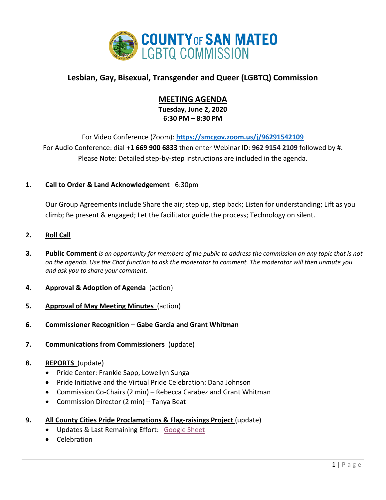

# **Lesbian, Gay, Bisexual, Transgender and Queer (LGBTQ) Commission**

# **MEETING AGENDA**

**Tuesday, June 2, 2020 6:30 PM – 8:30 PM**

For Video Conference (Zoom): **<https://smcgov.zoom.us/j/96291542109>** For Audio Conference: dial **+1 669 900 6833** then enter Webinar ID: **962 9154 2109** followed by #. Please Note: Detailed step-by-step instructions are included in the agenda.

## **1. Call to Order & Land Acknowledgement** 6:30pm

Our Group Agreements include Share the air; step up, step back; Listen for understanding; Lift as you climb; Be present & engaged; Let the facilitator guide the process; Technology on silent.

### **2. Roll Call**

- **3. Public Comment** *is an opportunity for members of the public to address the commission on any topic that is not on the agenda. Use the Chat function to ask the moderator to comment. The moderator will then unmute you and ask you to share your comment.*
- **4. Approval & Adoption of Agenda** (action)
- **5. Approval of May Meeting Minutes** (action)
- **6. Commissioner Recognition – Gabe Garcia and Grant Whitman**
- **7. Communications from Commissioners** (update)

### **8. REPORTS** (update)

- Pride Center: Frankie Sapp, Lowellyn Sunga
- Pride Initiative and the Virtual Pride Celebration: Dana Johnson
- Commission Co-Chairs (2 min) Rebecca Carabez and Grant Whitman
- Commission Director (2 min) Tanya Beat
- **9. All County Cities Pride Proclamations & Flag-raisings Project** (update)
	- Updates & Last Remaining Effort: [Google Sheet](https://docs.google.com/spreadsheets/d/15lLQPfnNXnlG4LZB08H2AxVDZjWj2j0jPPpaQB0NJSA/edit?usp=sharing)
	- Celebration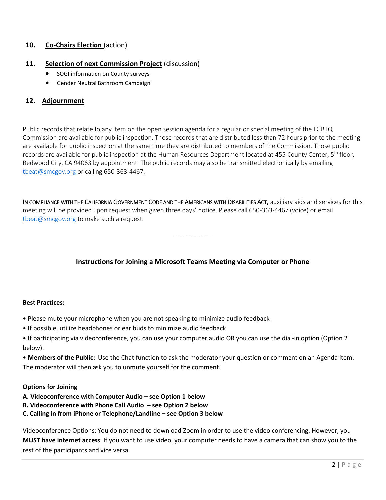## **10. Co-Chairs Election** (action)

### **11. Selection of next Commission Project** (discussion)

- SOGI information on County surveys
- Gender Neutral Bathroom Campaign

### **12. Adjournment**

Public records that relate to any item on the open session agenda for a regular or special meeting of the LGBTQ Commission are available for public inspection. Those records that are distributed less than 72 hours prior to the meeting are available for public inspection at the same time they are distributed to members of the Commission. Those public records are available for public inspection at the Human Resources Department located at 455 County Center, 5<sup>th</sup> floor, Redwood City, CA 94063 by appointment. The public records may also be transmitted electronically by emailing [tbeat@smcgov.org](mailto:tbeat@smcgov.org) or calling 650-363-4467.

IN COMPLIANCE WITH THE CALIFORNIA GOVERNMENT CODE AND THE AMERICANS WITH DISABILITIES ACT, auxiliary aids and services for this meeting will be provided upon request when given three days' notice. Please call 650-363-4467 (voice) or email [tbeat@smcgov.org](mailto:tbeat@smcgov.org) to make such a request.

------------------

## **Instructions for Joining a Microsoft Teams Meeting via Computer or Phone**

#### **Best Practices:**

- Please mute your microphone when you are not speaking to minimize audio feedback
- If possible, utilize headphones or ear buds to minimize audio feedback
- If participating via videoconference, you can use your computer audio OR you can use the dial-in option (Option 2 below).

• **Members of the Public:** Use the Chat function to ask the moderator your question or comment on an Agenda item. The moderator will then ask you to unmute yourself for the comment.

#### **Options for Joining**

- **A. Videoconference with Computer Audio – see Option 1 below**
- **B. Videoconference with Phone Call Audio – see Option 2 below**
- **C. Calling in from iPhone or Telephone/Landline – see Option 3 below**

Videoconference Options: You do not need to download Zoom in order to use the video conferencing. However, you **MUST have internet access**. If you want to use video, your computer needs to have a camera that can show you to the rest of the participants and vice versa.